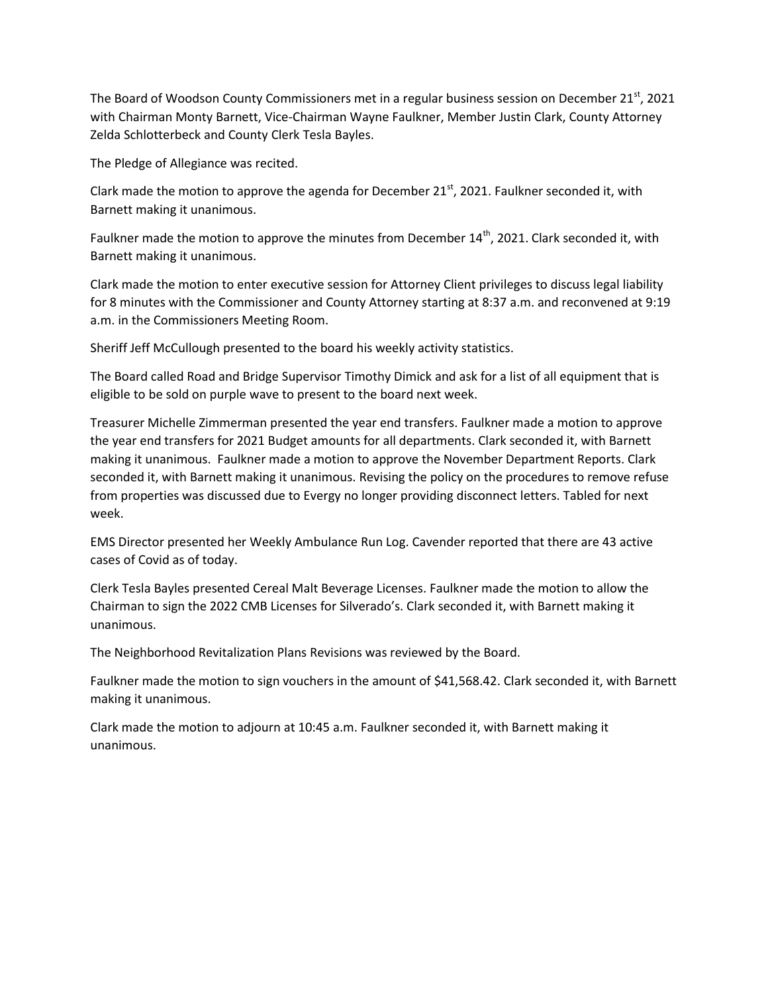The Board of Woodson County Commissioners met in a regular business session on December  $21^{st}$ , 2021 with Chairman Monty Barnett, Vice-Chairman Wayne Faulkner, Member Justin Clark, County Attorney Zelda Schlotterbeck and County Clerk Tesla Bayles.

The Pledge of Allegiance was recited.

Clark made the motion to approve the agenda for December  $21^{st}$ , 2021. Faulkner seconded it, with Barnett making it unanimous.

Faulkner made the motion to approve the minutes from December 14<sup>th</sup>, 2021. Clark seconded it, with Barnett making it unanimous.

Clark made the motion to enter executive session for Attorney Client privileges to discuss legal liability for 8 minutes with the Commissioner and County Attorney starting at 8:37 a.m. and reconvened at 9:19 a.m. in the Commissioners Meeting Room.

Sheriff Jeff McCullough presented to the board his weekly activity statistics.

The Board called Road and Bridge Supervisor Timothy Dimick and ask for a list of all equipment that is eligible to be sold on purple wave to present to the board next week.

Treasurer Michelle Zimmerman presented the year end transfers. Faulkner made a motion to approve the year end transfers for 2021 Budget amounts for all departments. Clark seconded it, with Barnett making it unanimous. Faulkner made a motion to approve the November Department Reports. Clark seconded it, with Barnett making it unanimous. Revising the policy on the procedures to remove refuse from properties was discussed due to Evergy no longer providing disconnect letters. Tabled for next week.

EMS Director presented her Weekly Ambulance Run Log. Cavender reported that there are 43 active cases of Covid as of today.

Clerk Tesla Bayles presented Cereal Malt Beverage Licenses. Faulkner made the motion to allow the Chairman to sign the 2022 CMB Licenses for Silverado's. Clark seconded it, with Barnett making it unanimous.

The Neighborhood Revitalization Plans Revisions was reviewed by the Board.

Faulkner made the motion to sign vouchers in the amount of \$41,568.42. Clark seconded it, with Barnett making it unanimous.

Clark made the motion to adjourn at 10:45 a.m. Faulkner seconded it, with Barnett making it unanimous.